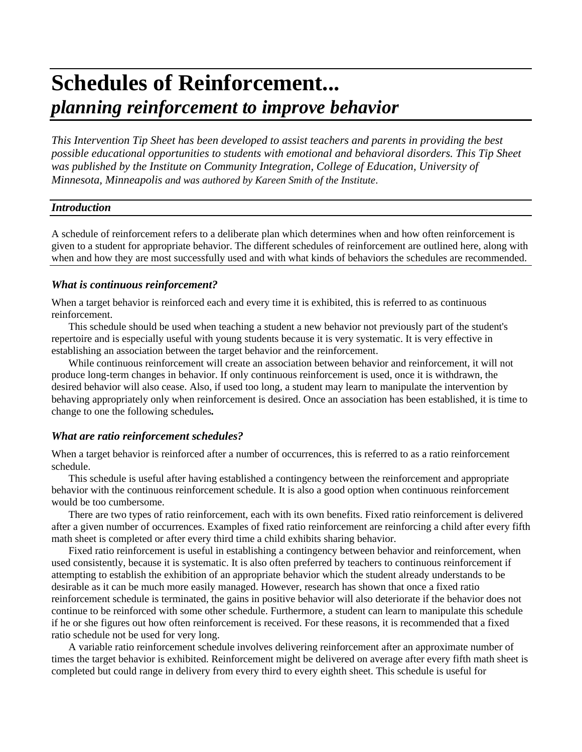# **Schedules of Reinforcement...** *planning reinforcement to improve behavior*

*This Intervention Tip Sheet has been developed to assist teachers and parents in providing the best possible educational opportunities to students with emotional and behavioral disorders. This Tip Sheet was published by the Institute on Community Integration, College of Education, University of Minnesota, Minneapolis and was authored by Kareen Smith of the Institute*.

#### *Introduction*

A schedule of reinforcement refers to a deliberate plan which determines when and how often reinforcement is given to a student for appropriate behavior. The different schedules of reinforcement are outlined here, along with when and how they are most successfully used and with what kinds of behaviors the schedules are recommended.

#### *What is continuous reinforcement?*

When a target behavior is reinforced each and every time it is exhibited, this is referred to as continuous reinforcement.

This schedule should be used when teaching a student a new behavior not previously part of the student's repertoire and is especially useful with young students because it is very systematic. It is very effective in establishing an association between the target behavior and the reinforcement.

While continuous reinforcement will create an association between behavior and reinforcement, it will not produce long-term changes in behavior. If only continuous reinforcement is used, once it is withdrawn, the desired behavior will also cease. Also, if used too long, a student may learn to manipulate the intervention by behaving appropriately only when reinforcement is desired. Once an association has been established, it is time to change to one the following schedules*.*

#### *What are ratio reinforcement schedules?*

When a target behavior is reinforced after a number of occurrences, this is referred to as a ratio reinforcement schedule.

This schedule is useful after having established a contingency between the reinforcement and appropriate behavior with the continuous reinforcement schedule. It is also a good option when continuous reinforcement would be too cumbersome.

There are two types of ratio reinforcement, each with its own benefits. Fixed ratio reinforcement is delivered after a given number of occurrences. Examples of fixed ratio reinforcement are reinforcing a child after every fifth math sheet is completed or after every third time a child exhibits sharing behavior.

Fixed ratio reinforcement is useful in establishing a contingency between behavior and reinforcement, when used consistently, because it is systematic. It is also often preferred by teachers to continuous reinforcement if attempting to establish the exhibition of an appropriate behavior which the student already understands to be desirable as it can be much more easily managed. However, research has shown that once a fixed ratio reinforcement schedule is terminated, the gains in positive behavior will also deteriorate if the behavior does not continue to be reinforced with some other schedule. Furthermore, a student can learn to manipulate this schedule if he or she figures out how often reinforcement is received. For these reasons, it is recommended that a fixed ratio schedule not be used for very long.

A variable ratio reinforcement schedule involves delivering reinforcement after an approximate number of times the target behavior is exhibited. Reinforcement might be delivered on average after every fifth math sheet is completed but could range in delivery from every third to every eighth sheet. This schedule is useful for